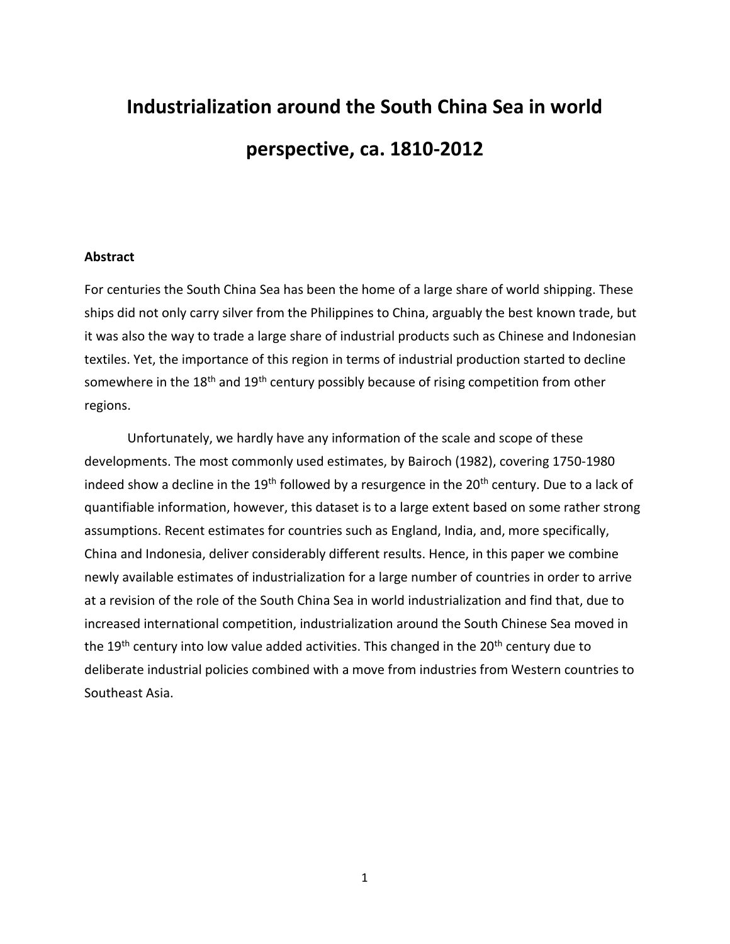# **Industrialization around the South China Sea in world perspective, ca. 1810-2012**

### **Abstract**

For centuries the South China Sea has been the home of a large share of world shipping. These ships did not only carry silver from the Philippines to China, arguably the best known trade, but it was also the way to trade a large share of industrial products such as Chinese and Indonesian textiles. Yet, the importance of this region in terms of industrial production started to decline somewhere in the  $18<sup>th</sup>$  and  $19<sup>th</sup>$  century possibly because of rising competition from other regions.

Unfortunately, we hardly have any information of the scale and scope of these developments. The most commonly used estimates, by Bairoch (1982), covering 1750-1980 indeed show a decline in the 19<sup>th</sup> followed by a resurgence in the 20<sup>th</sup> century. Due to a lack of quantifiable information, however, this dataset is to a large extent based on some rather strong assumptions. Recent estimates for countries such as England, India, and, more specifically, China and Indonesia, deliver considerably different results. Hence, in this paper we combine newly available estimates of industrialization for a large number of countries in order to arrive at a revision of the role of the South China Sea in world industrialization and find that, due to increased international competition, industrialization around the South Chinese Sea moved in the 19<sup>th</sup> century into low value added activities. This changed in the 20<sup>th</sup> century due to deliberate industrial policies combined with a move from industries from Western countries to Southeast Asia.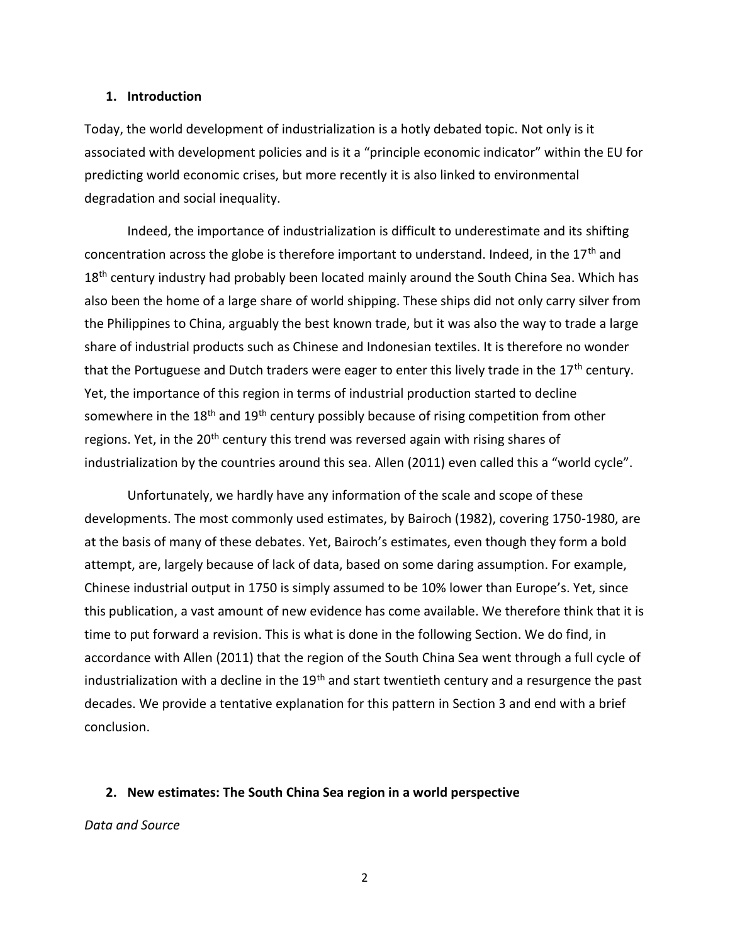#### **1. Introduction**

Today, the world development of industrialization is a hotly debated topic. Not only is it associated with development policies and is it a "principle economic indicator" within the EU for predicting world economic crises, but more recently it is also linked to environmental degradation and social inequality.

Indeed, the importance of industrialization is difficult to underestimate and its shifting concentration across the globe is therefore important to understand. Indeed, in the 17<sup>th</sup> and  $18<sup>th</sup>$  century industry had probably been located mainly around the South China Sea. Which has also been the home of a large share of world shipping. These ships did not only carry silver from the Philippines to China, arguably the best known trade, but it was also the way to trade a large share of industrial products such as Chinese and Indonesian textiles. It is therefore no wonder that the Portuguese and Dutch traders were eager to enter this lively trade in the 17<sup>th</sup> century. Yet, the importance of this region in terms of industrial production started to decline somewhere in the 18<sup>th</sup> and 19<sup>th</sup> century possibly because of rising competition from other regions. Yet, in the 20<sup>th</sup> century this trend was reversed again with rising shares of industrialization by the countries around this sea. Allen (2011) even called this a "world cycle".

Unfortunately, we hardly have any information of the scale and scope of these developments. The most commonly used estimates, by Bairoch (1982), covering 1750-1980, are at the basis of many of these debates. Yet, Bairoch's estimates, even though they form a bold attempt, are, largely because of lack of data, based on some daring assumption. For example, Chinese industrial output in 1750 is simply assumed to be 10% lower than Europe's. Yet, since this publication, a vast amount of new evidence has come available. We therefore think that it is time to put forward a revision. This is what is done in the following Section. We do find, in accordance with Allen (2011) that the region of the South China Sea went through a full cycle of industrialization with a decline in the  $19<sup>th</sup>$  and start twentieth century and a resurgence the past decades. We provide a tentative explanation for this pattern in Section 3 and end with a brief conclusion.

#### **2. New estimates: The South China Sea region in a world perspective**

*Data and Source*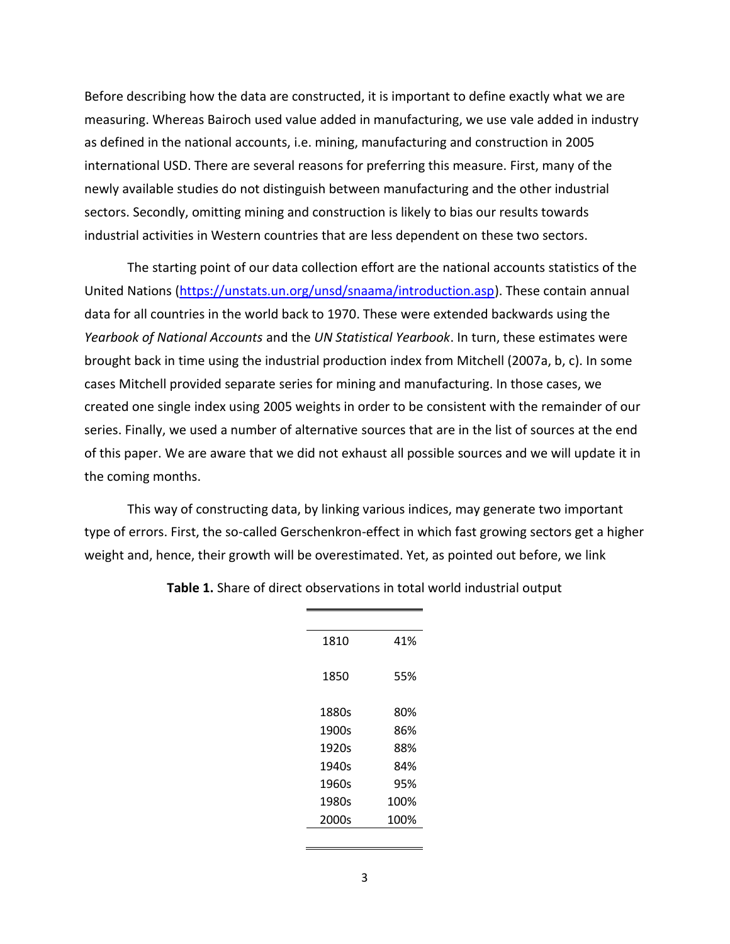Before describing how the data are constructed, it is important to define exactly what we are measuring. Whereas Bairoch used value added in manufacturing, we use vale added in industry as defined in the national accounts, i.e. mining, manufacturing and construction in 2005 international USD. There are several reasons for preferring this measure. First, many of the newly available studies do not distinguish between manufacturing and the other industrial sectors. Secondly, omitting mining and construction is likely to bias our results towards industrial activities in Western countries that are less dependent on these two sectors.

The starting point of our data collection effort are the national accounts statistics of the United Nations [\(https://unstats.un.org/unsd/snaama/introduction.asp\)](https://unstats.un.org/unsd/snaama/introduction.asp). These contain annual data for all countries in the world back to 1970. These were extended backwards using the *Yearbook of National Accounts* and the *UN Statistical Yearbook*. In turn, these estimates were brought back in time using the industrial production index from Mitchell (2007a, b, c). In some cases Mitchell provided separate series for mining and manufacturing. In those cases, we created one single index using 2005 weights in order to be consistent with the remainder of our series. Finally, we used a number of alternative sources that are in the list of sources at the end of this paper. We are aware that we did not exhaust all possible sources and we will update it in the coming months.

This way of constructing data, by linking various indices, may generate two important type of errors. First, the so-called Gerschenkron-effect in which fast growing sectors get a higher weight and, hence, their growth will be overestimated. Yet, as pointed out before, we link

| 1810  | 41%  |
|-------|------|
| 1850  | 55%  |
| 1880s | 80%  |
| 1900s | 86%  |
| 1920s | 88%  |
| 1940s | 84%  |
| 1960s | 95%  |
| 1980s | 100% |
| 2000s | 100% |
|       |      |

**Table 1.** Share of direct observations in total world industrial output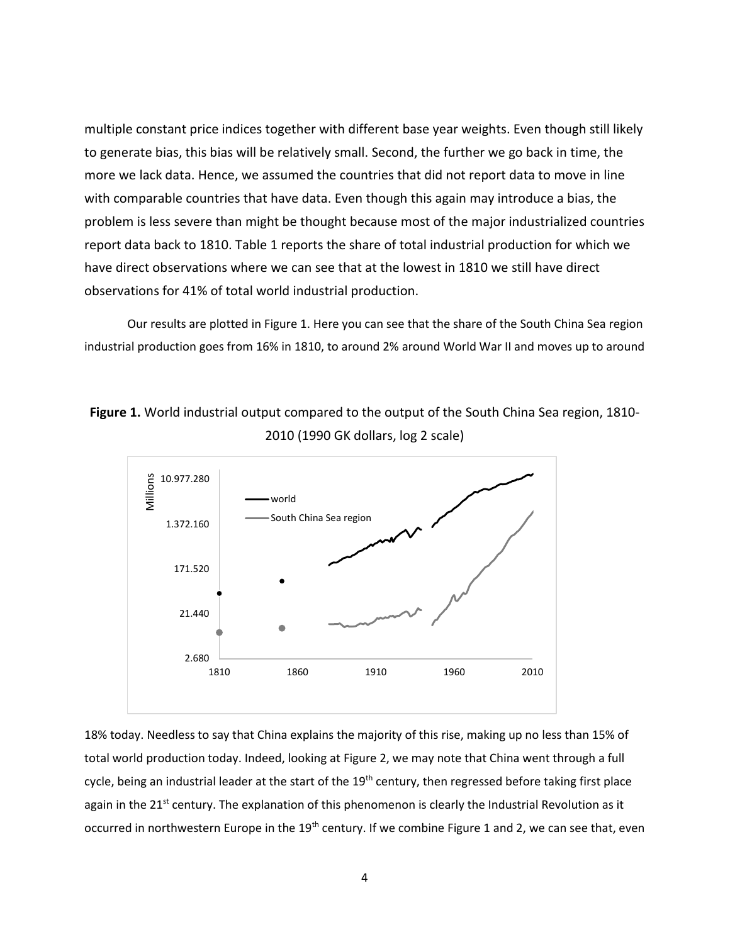multiple constant price indices together with different base year weights. Even though still likely to generate bias, this bias will be relatively small. Second, the further we go back in time, the more we lack data. Hence, we assumed the countries that did not report data to move in line with comparable countries that have data. Even though this again may introduce a bias, the problem is less severe than might be thought because most of the major industrialized countries report data back to 1810. Table 1 reports the share of total industrial production for which we have direct observations where we can see that at the lowest in 1810 we still have direct observations for 41% of total world industrial production.

Our results are plotted in Figure 1. Here you can see that the share of the South China Sea region industrial production goes from 16% in 1810, to around 2% around World War II and moves up to around

**Figure 1.** World industrial output compared to the output of the South China Sea region, 1810- 2010 (1990 GK dollars, log 2 scale)



18% today. Needless to say that China explains the majority of this rise, making up no less than 15% of total world production today. Indeed, looking at Figure 2, we may note that China went through a full cycle, being an industrial leader at the start of the 19<sup>th</sup> century, then regressed before taking first place again in the 21<sup>st</sup> century. The explanation of this phenomenon is clearly the Industrial Revolution as it occurred in northwestern Europe in the 19<sup>th</sup> century. If we combine Figure 1 and 2, we can see that, even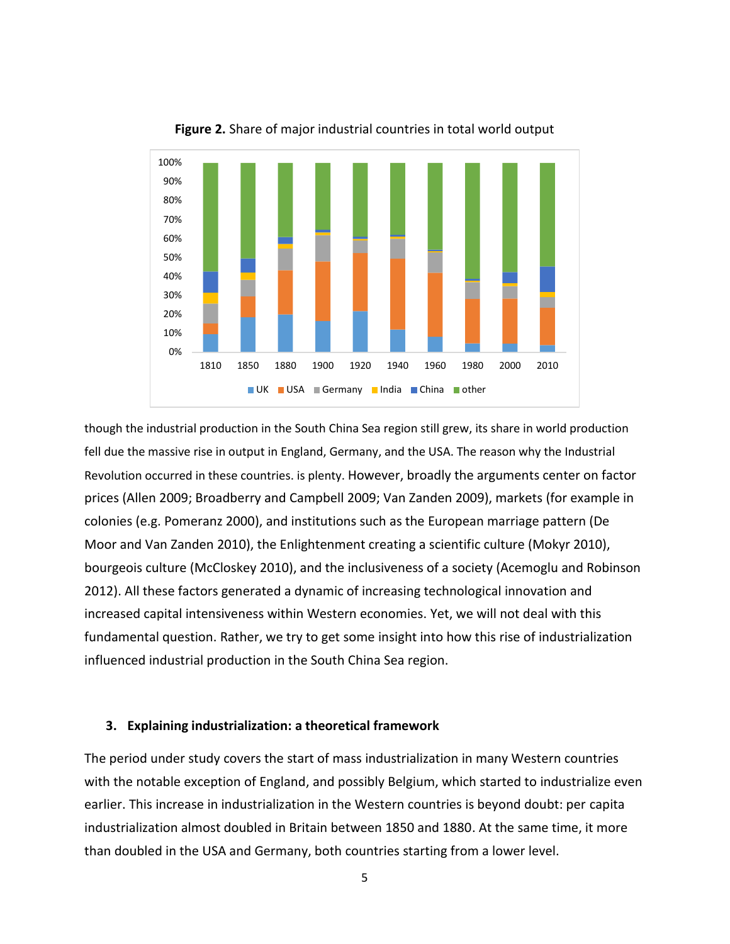

**Figure 2.** Share of major industrial countries in total world output

though the industrial production in the South China Sea region still grew, its share in world production fell due the massive rise in output in England, Germany, and the USA. The reason why the Industrial Revolution occurred in these countries. is plenty. However, broadly the arguments center on factor prices (Allen 2009; Broadberry and Campbell 2009; Van Zanden 2009), markets (for example in colonies (e.g. Pomeranz 2000), and institutions such as the European marriage pattern (De Moor and Van Zanden 2010), the Enlightenment creating a scientific culture (Mokyr 2010), bourgeois culture (McCloskey 2010), and the inclusiveness of a society (Acemoglu and Robinson 2012). All these factors generated a dynamic of increasing technological innovation and increased capital intensiveness within Western economies. Yet, we will not deal with this fundamental question. Rather, we try to get some insight into how this rise of industrialization influenced industrial production in the South China Sea region.

#### **3. Explaining industrialization: a theoretical framework**

The period under study covers the start of mass industrialization in many Western countries with the notable exception of England, and possibly Belgium, which started to industrialize even earlier. This increase in industrialization in the Western countries is beyond doubt: per capita industrialization almost doubled in Britain between 1850 and 1880. At the same time, it more than doubled in the USA and Germany, both countries starting from a lower level.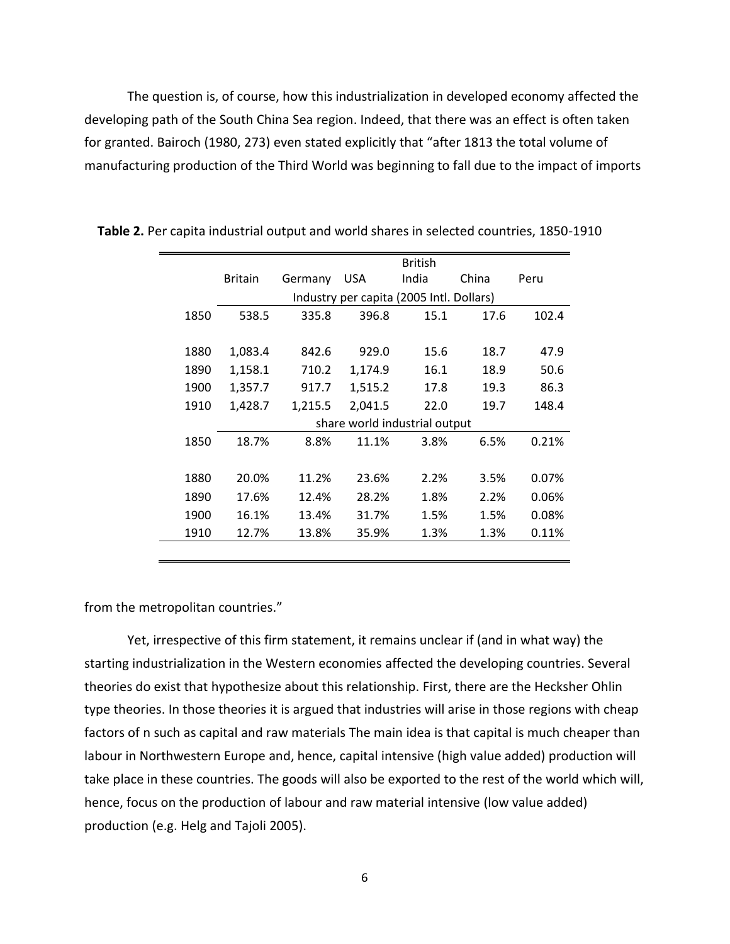The question is, of course, how this industrialization in developed economy affected the developing path of the South China Sea region. Indeed, that there was an effect is often taken for granted. Bairoch (1980, 273) even stated explicitly that "after 1813 the total volume of manufacturing production of the Third World was beginning to fall due to the impact of imports

|      |                                          | <b>British</b> |         |       |       |       |  |  |
|------|------------------------------------------|----------------|---------|-------|-------|-------|--|--|
|      | <b>Britain</b>                           | Germany        | USA     | India | China | Peru  |  |  |
|      | Industry per capita (2005 Intl. Dollars) |                |         |       |       |       |  |  |
| 1850 | 538.5                                    | 335.8          | 396.8   | 15.1  | 17.6  | 102.4 |  |  |
|      |                                          |                |         |       |       |       |  |  |
| 1880 | 1,083.4                                  | 842.6          | 929.0   | 15.6  | 18.7  | 47.9  |  |  |
| 1890 | 1,158.1                                  | 710.2          | 1,174.9 | 16.1  | 18.9  | 50.6  |  |  |
| 1900 | 1,357.7                                  | 917.7          | 1,515.2 | 17.8  | 19.3  | 86.3  |  |  |
| 1910 | 1,428.7                                  | 1,215.5        | 2,041.5 | 22.0  | 19.7  | 148.4 |  |  |
|      | share world industrial output            |                |         |       |       |       |  |  |
| 1850 | 18.7%                                    | 8.8%           | 11.1%   | 3.8%  | 6.5%  | 0.21% |  |  |
|      |                                          |                |         |       |       |       |  |  |
| 1880 | 20.0%                                    | 11.2%          | 23.6%   | 2.2%  | 3.5%  | 0.07% |  |  |
| 1890 | 17.6%                                    | 12.4%          | 28.2%   | 1.8%  | 2.2%  | 0.06% |  |  |
| 1900 | 16.1%                                    | 13.4%          | 31.7%   | 1.5%  | 1.5%  | 0.08% |  |  |
| 1910 | 12.7%                                    | 13.8%          | 35.9%   | 1.3%  | 1.3%  | 0.11% |  |  |
|      |                                          |                |         |       |       |       |  |  |

 **Table 2.** Per capita industrial output and world shares in selected countries, 1850-1910

from the metropolitan countries."

Yet, irrespective of this firm statement, it remains unclear if (and in what way) the starting industrialization in the Western economies affected the developing countries. Several theories do exist that hypothesize about this relationship. First, there are the Hecksher Ohlin type theories. In those theories it is argued that industries will arise in those regions with cheap factors of n such as capital and raw materials The main idea is that capital is much cheaper than labour in Northwestern Europe and, hence, capital intensive (high value added) production will take place in these countries. The goods will also be exported to the rest of the world which will, hence, focus on the production of labour and raw material intensive (low value added) production (e.g. Helg and Tajoli 2005).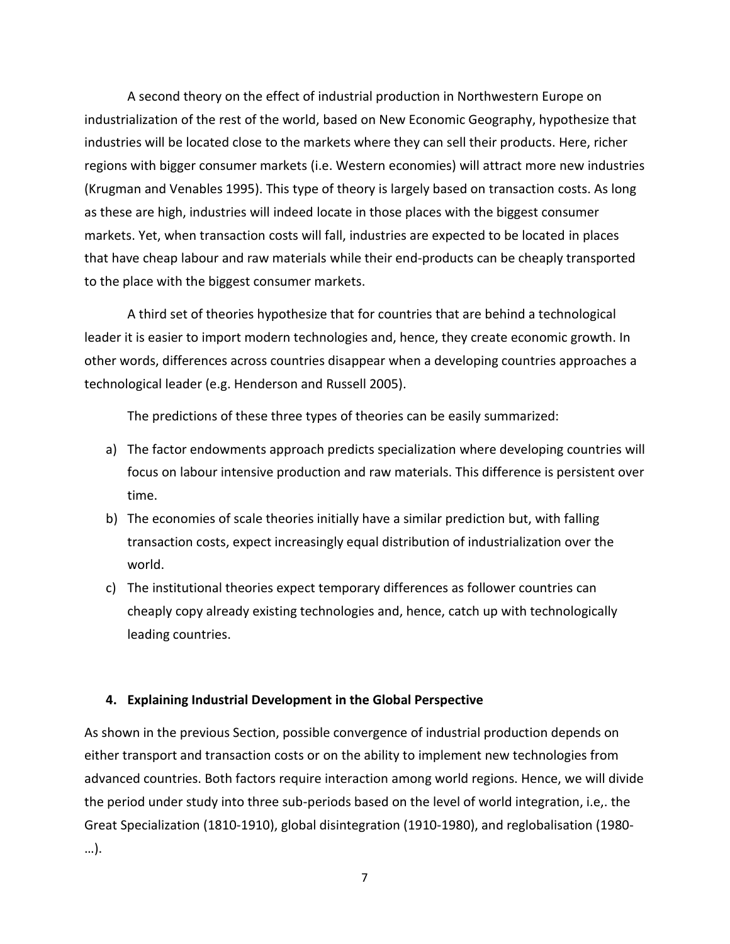A second theory on the effect of industrial production in Northwestern Europe on industrialization of the rest of the world, based on New Economic Geography, hypothesize that industries will be located close to the markets where they can sell their products. Here, richer regions with bigger consumer markets (i.e. Western economies) will attract more new industries (Krugman and Venables 1995). This type of theory is largely based on transaction costs. As long as these are high, industries will indeed locate in those places with the biggest consumer markets. Yet, when transaction costs will fall, industries are expected to be located in places that have cheap labour and raw materials while their end-products can be cheaply transported to the place with the biggest consumer markets.

A third set of theories hypothesize that for countries that are behind a technological leader it is easier to import modern technologies and, hence, they create economic growth. In other words, differences across countries disappear when a developing countries approaches a technological leader (e.g. Henderson and Russell 2005).

The predictions of these three types of theories can be easily summarized:

- a) The factor endowments approach predicts specialization where developing countries will focus on labour intensive production and raw materials. This difference is persistent over time.
- b) The economies of scale theories initially have a similar prediction but, with falling transaction costs, expect increasingly equal distribution of industrialization over the world.
- c) The institutional theories expect temporary differences as follower countries can cheaply copy already existing technologies and, hence, catch up with technologically leading countries.

# **4. Explaining Industrial Development in the Global Perspective**

As shown in the previous Section, possible convergence of industrial production depends on either transport and transaction costs or on the ability to implement new technologies from advanced countries. Both factors require interaction among world regions. Hence, we will divide the period under study into three sub-periods based on the level of world integration, i.e,. the Great Specialization (1810-1910), global disintegration (1910-1980), and reglobalisation (1980- …).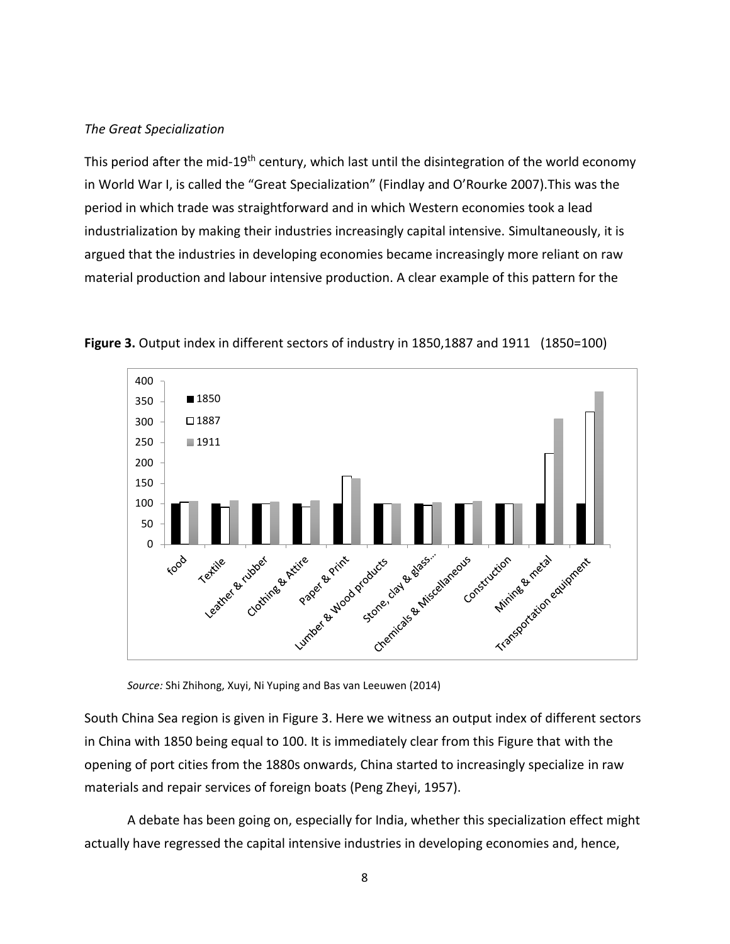# *The Great Specialization*

This period after the mid-19<sup>th</sup> century, which last until the disintegration of the world economy in World War I, is called the "Great Specialization" (Findlay and O'Rourke 2007).This was the period in which trade was straightforward and in which Western economies took a lead industrialization by making their industries increasingly capital intensive. Simultaneously, it is argued that the industries in developing economies became increasingly more reliant on raw material production and labour intensive production. A clear example of this pattern for the



**Figure 3.** Output index in different sectors of industry in 1850,1887 and 1911 (1850=100)

*Source:* Shi Zhihong, Xuyi, Ni Yuping and Bas van Leeuwen (2014)

South China Sea region is given in Figure 3. Here we witness an output index of different sectors in China with 1850 being equal to 100. It is immediately clear from this Figure that with the opening of port cities from the 1880s onwards, China started to increasingly specialize in raw materials and repair services of foreign boats (Peng Zheyi, 1957).

A debate has been going on, especially for India, whether this specialization effect might actually have regressed the capital intensive industries in developing economies and, hence,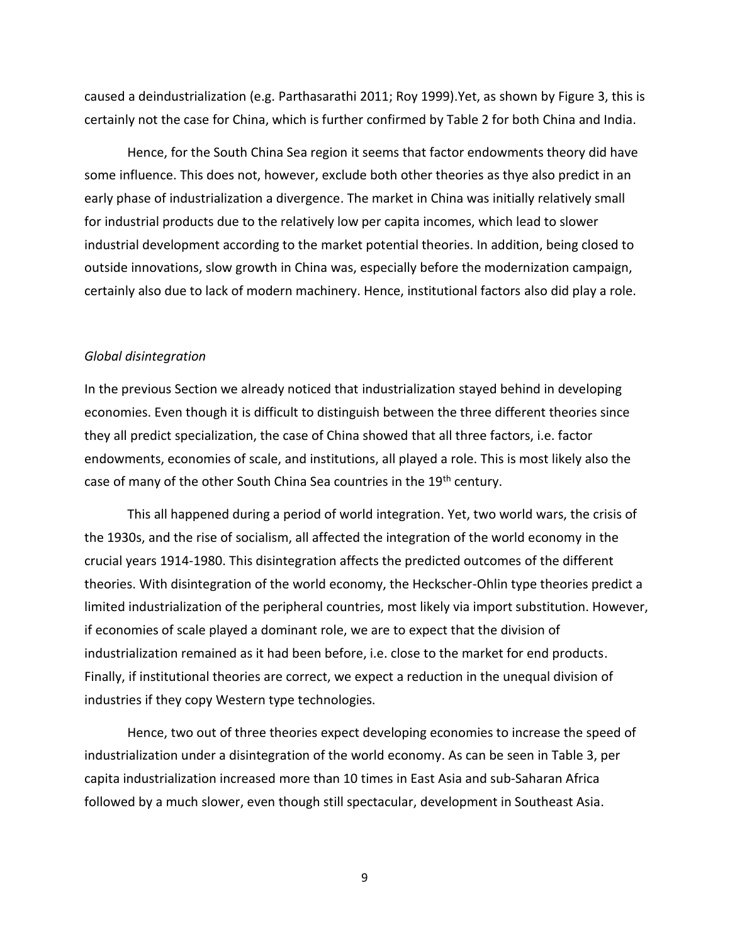caused a deindustrialization (e.g. Parthasarathi 2011; Roy 1999).Yet, as shown by Figure 3, this is certainly not the case for China, which is further confirmed by Table 2 for both China and India.

Hence, for the South China Sea region it seems that factor endowments theory did have some influence. This does not, however, exclude both other theories as thye also predict in an early phase of industrialization a divergence. The market in China was initially relatively small for industrial products due to the relatively low per capita incomes, which lead to slower industrial development according to the market potential theories. In addition, being closed to outside innovations, slow growth in China was, especially before the modernization campaign, certainly also due to lack of modern machinery. Hence, institutional factors also did play a role.

#### *Global disintegration*

In the previous Section we already noticed that industrialization stayed behind in developing economies. Even though it is difficult to distinguish between the three different theories since they all predict specialization, the case of China showed that all three factors, i.e. factor endowments, economies of scale, and institutions, all played a role. This is most likely also the case of many of the other South China Sea countries in the 19<sup>th</sup> century.

This all happened during a period of world integration. Yet, two world wars, the crisis of the 1930s, and the rise of socialism, all affected the integration of the world economy in the crucial years 1914-1980. This disintegration affects the predicted outcomes of the different theories. With disintegration of the world economy, the Heckscher-Ohlin type theories predict a limited industrialization of the peripheral countries, most likely via import substitution. However, if economies of scale played a dominant role, we are to expect that the division of industrialization remained as it had been before, i.e. close to the market for end products. Finally, if institutional theories are correct, we expect a reduction in the unequal division of industries if they copy Western type technologies.

Hence, two out of three theories expect developing economies to increase the speed of industrialization under a disintegration of the world economy. As can be seen in Table 3, per capita industrialization increased more than 10 times in East Asia and sub-Saharan Africa followed by a much slower, even though still spectacular, development in Southeast Asia.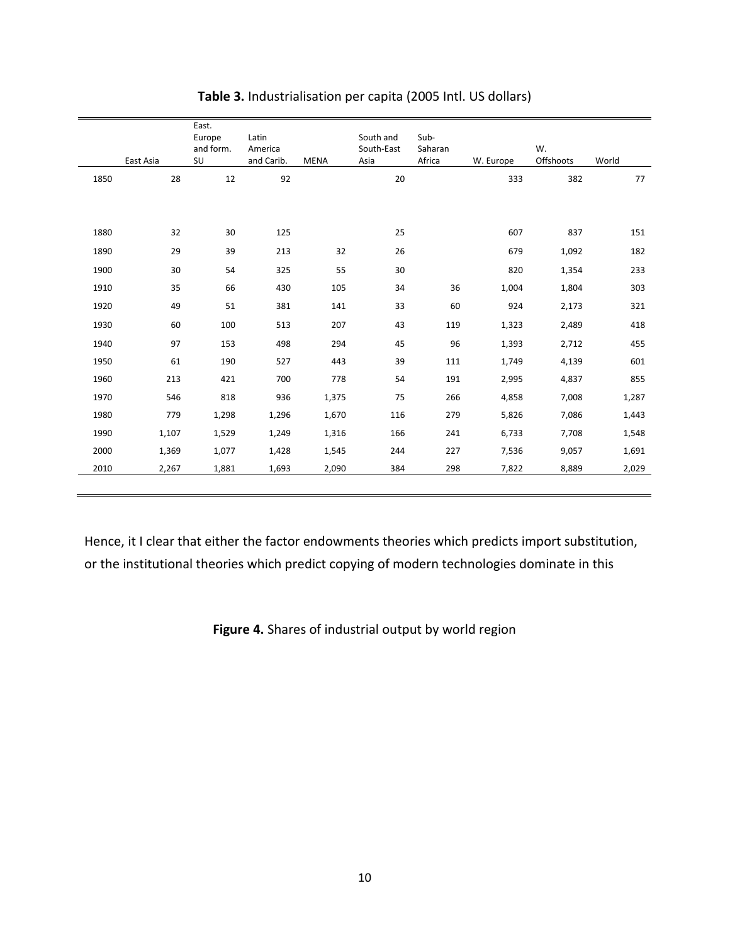|      | East Asia | East.<br>Europe<br>and form.<br>SU | Latin<br>America<br>and Carib. | <b>MENA</b> | South and<br>South-East<br>Asia | Sub-<br>Saharan<br>Africa | W. Europe | W.<br>Offshoots | World |
|------|-----------|------------------------------------|--------------------------------|-------------|---------------------------------|---------------------------|-----------|-----------------|-------|
| 1850 | 28        | 12                                 | 92                             |             | 20                              |                           | 333       | 382             | 77    |
|      |           |                                    |                                |             |                                 |                           |           |                 |       |
| 1880 | 32        | 30                                 | 125                            |             | 25                              |                           | 607       | 837             | 151   |
| 1890 | 29        | 39                                 | 213                            | 32          | 26                              |                           | 679       | 1,092           | 182   |
| 1900 | 30        | 54                                 | 325                            | 55          | 30                              |                           | 820       | 1,354           | 233   |
| 1910 | 35        | 66                                 | 430                            | 105         | 34                              | 36                        | 1,004     | 1,804           | 303   |
| 1920 | 49        | 51                                 | 381                            | 141         | 33                              | 60                        | 924       | 2,173           | 321   |
| 1930 | 60        | 100                                | 513                            | 207         | 43                              | 119                       | 1,323     | 2,489           | 418   |
| 1940 | 97        | 153                                | 498                            | 294         | 45                              | 96                        | 1,393     | 2,712           | 455   |
| 1950 | 61        | 190                                | 527                            | 443         | 39                              | 111                       | 1,749     | 4,139           | 601   |
| 1960 | 213       | 421                                | 700                            | 778         | 54                              | 191                       | 2,995     | 4,837           | 855   |
| 1970 | 546       | 818                                | 936                            | 1,375       | 75                              | 266                       | 4,858     | 7,008           | 1,287 |
| 1980 | 779       | 1,298                              | 1,296                          | 1,670       | 116                             | 279                       | 5,826     | 7,086           | 1,443 |
| 1990 | 1,107     | 1,529                              | 1,249                          | 1,316       | 166                             | 241                       | 6,733     | 7,708           | 1,548 |
| 2000 | 1,369     | 1,077                              | 1,428                          | 1,545       | 244                             | 227                       | 7,536     | 9,057           | 1,691 |
| 2010 | 2,267     | 1,881                              | 1,693                          | 2,090       | 384                             | 298                       | 7,822     | 8,889           | 2,029 |
|      |           |                                    |                                |             |                                 |                           |           |                 |       |

# **Table 3.** Industrialisation per capita (2005 Intl. US dollars)

Hence, it I clear that either the factor endowments theories which predicts import substitution, or the institutional theories which predict copying of modern technologies dominate in this

**Figure 4.** Shares of industrial output by world region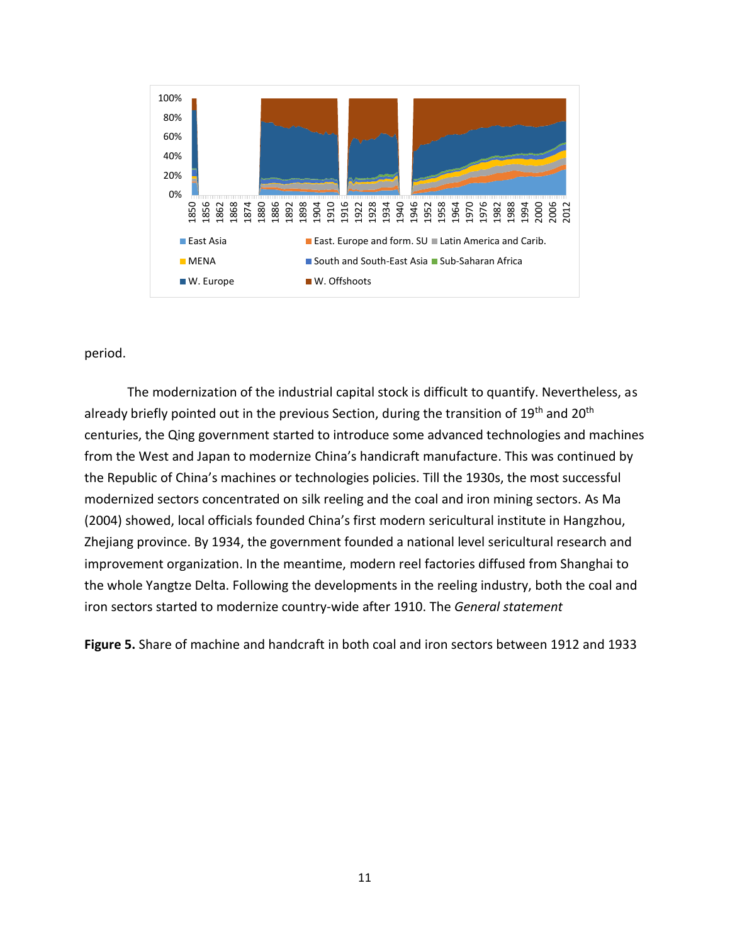

period.

The modernization of the industrial capital stock is difficult to quantify. Nevertheless, as already briefly pointed out in the previous Section, during the transition of 19<sup>th</sup> and 20<sup>th</sup> centuries, the Qing government started to introduce some advanced technologies and machines from the West and Japan to modernize China's handicraft manufacture. This was continued by the Republic of China's machines or technologies policies. Till the 1930s, the most successful modernized sectors concentrated on silk reeling and the coal and iron mining sectors. As Ma (2004) showed, local officials founded China's first modern sericultural institute in Hangzhou, Zhejiang province. By 1934, the government founded a national level sericultural research and improvement organization. In the meantime, modern reel factories diffused from Shanghai to the whole Yangtze Delta. Following the developments in the reeling industry, both the coal and iron sectors started to modernize country-wide after 1910. The *General statement* 

**Figure 5.** Share of machine and handcraft in both coal and iron sectors between 1912 and 1933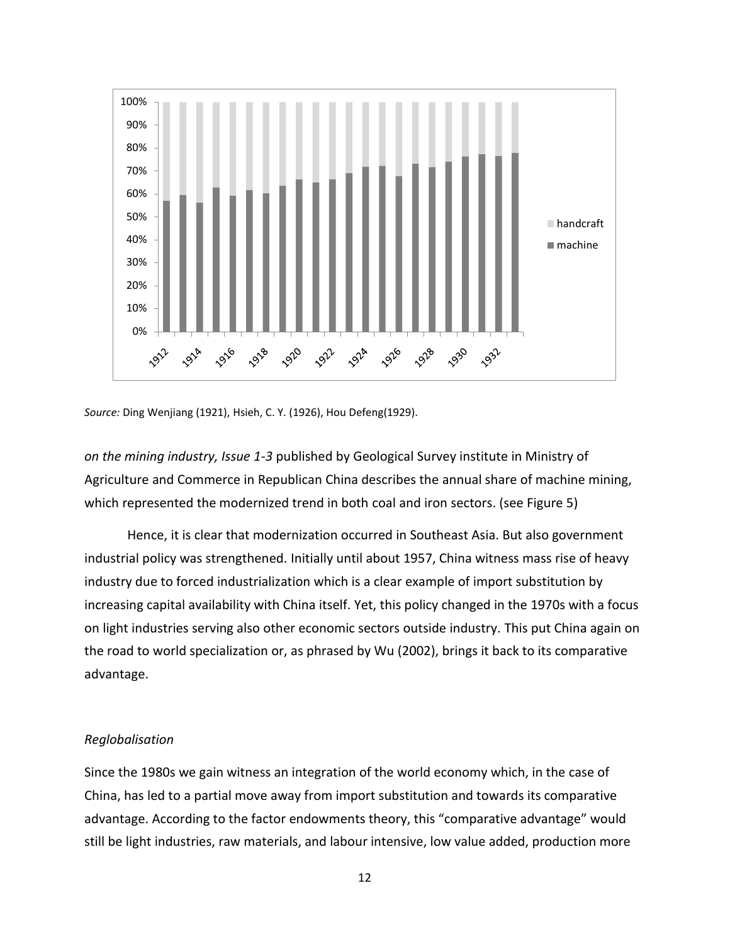

*Source:* Ding Wenjiang (1921), Hsieh, C. Y. (1926), Hou Defeng(1929).

*on the mining industry, Issue 1-3* published by Geological Survey institute in Ministry of Agriculture and Commerce in Republican China describes the annual share of machine mining, which represented the modernized trend in both coal and iron sectors. (see Figure 5)

Hence, it is clear that modernization occurred in Southeast Asia. But also government industrial policy was strengthened. Initially until about 1957, China witness mass rise of heavy industry due to forced industrialization which is a clear example of import substitution by increasing capital availability with China itself. Yet, this policy changed in the 1970s with a focus on light industries serving also other economic sectors outside industry. This put China again on the road to world specialization or, as phrased by Wu (2002), brings it back to its comparative advantage.

# *Reglobalisation*

Since the 1980s we gain witness an integration of the world economy which, in the case of China, has led to a partial move away from import substitution and towards its comparative advantage. According to the factor endowments theory, this "comparative advantage" would still be light industries, raw materials, and labour intensive, low value added, production more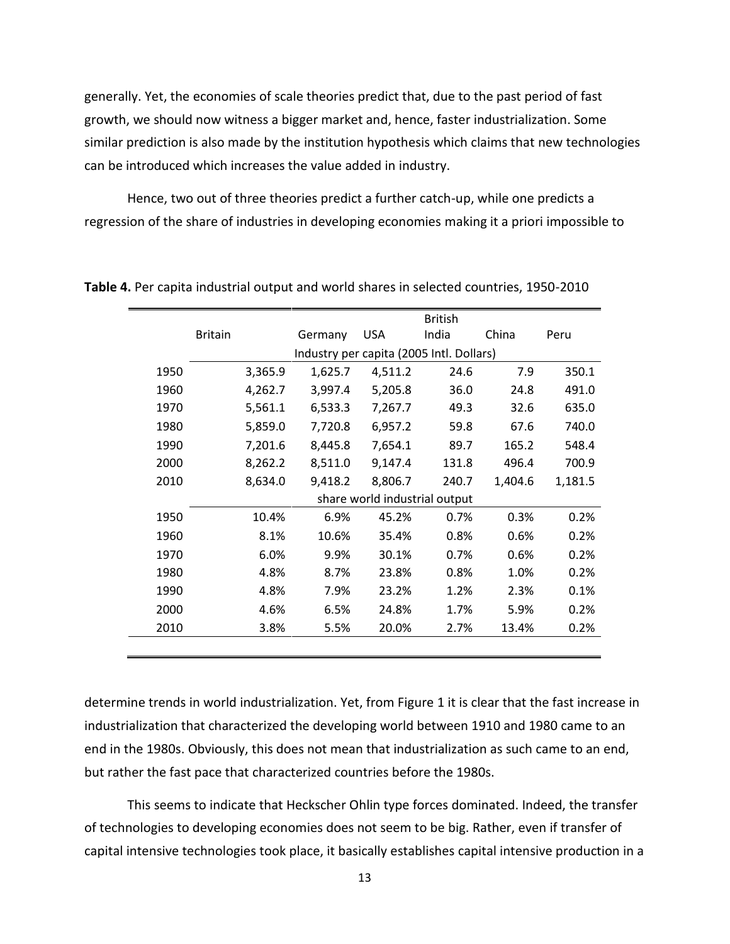generally. Yet, the economies of scale theories predict that, due to the past period of fast growth, we should now witness a bigger market and, hence, faster industrialization. Some similar prediction is also made by the institution hypothesis which claims that new technologies can be introduced which increases the value added in industry.

Hence, two out of three theories predict a further catch-up, while one predicts a regression of the share of industries in developing economies making it a priori impossible to

|      |                |                               |                                          |            | <b>British</b> |         |         |  |  |
|------|----------------|-------------------------------|------------------------------------------|------------|----------------|---------|---------|--|--|
|      | <b>Britain</b> |                               | Germany                                  | <b>USA</b> | India          | China   | Peru    |  |  |
|      |                |                               | Industry per capita (2005 Intl. Dollars) |            |                |         |         |  |  |
| 1950 |                | 3,365.9                       | 1,625.7                                  | 4,511.2    | 24.6           | 7.9     | 350.1   |  |  |
| 1960 |                | 4,262.7                       | 3,997.4                                  | 5,205.8    | 36.0           | 24.8    | 491.0   |  |  |
| 1970 |                | 5,561.1                       | 6,533.3                                  | 7,267.7    | 49.3           | 32.6    | 635.0   |  |  |
| 1980 |                | 5,859.0                       | 7,720.8                                  | 6,957.2    | 59.8           | 67.6    | 740.0   |  |  |
| 1990 |                | 7,201.6                       | 8,445.8                                  | 7,654.1    | 89.7           | 165.2   | 548.4   |  |  |
| 2000 |                | 8,262.2                       | 8,511.0                                  | 9,147.4    | 131.8          | 496.4   | 700.9   |  |  |
| 2010 |                | 8,634.0                       | 9,418.2                                  | 8,806.7    | 240.7          | 1,404.6 | 1,181.5 |  |  |
|      |                | share world industrial output |                                          |            |                |         |         |  |  |
| 1950 |                | 10.4%                         | 6.9%                                     | 45.2%      | 0.7%           | 0.3%    | 0.2%    |  |  |
| 1960 |                | 8.1%                          | 10.6%                                    | 35.4%      | 0.8%           | 0.6%    | 0.2%    |  |  |
| 1970 |                | 6.0%                          | 9.9%                                     | 30.1%      | 0.7%           | 0.6%    | 0.2%    |  |  |
| 1980 |                | 4.8%                          | 8.7%                                     | 23.8%      | 0.8%           | 1.0%    | 0.2%    |  |  |
| 1990 |                | 4.8%                          | 7.9%                                     | 23.2%      | 1.2%           | 2.3%    | 0.1%    |  |  |
| 2000 |                | 4.6%                          | 6.5%                                     | 24.8%      | 1.7%           | 5.9%    | 0.2%    |  |  |
| 2010 |                | 3.8%                          | 5.5%                                     | 20.0%      | 2.7%           | 13.4%   | 0.2%    |  |  |
|      |                |                               |                                          |            |                |         |         |  |  |

**Table 4.** Per capita industrial output and world shares in selected countries, 1950-2010

determine trends in world industrialization. Yet, from Figure 1 it is clear that the fast increase in industrialization that characterized the developing world between 1910 and 1980 came to an end in the 1980s. Obviously, this does not mean that industrialization as such came to an end, but rather the fast pace that characterized countries before the 1980s.

This seems to indicate that Heckscher Ohlin type forces dominated. Indeed, the transfer of technologies to developing economies does not seem to be big. Rather, even if transfer of capital intensive technologies took place, it basically establishes capital intensive production in a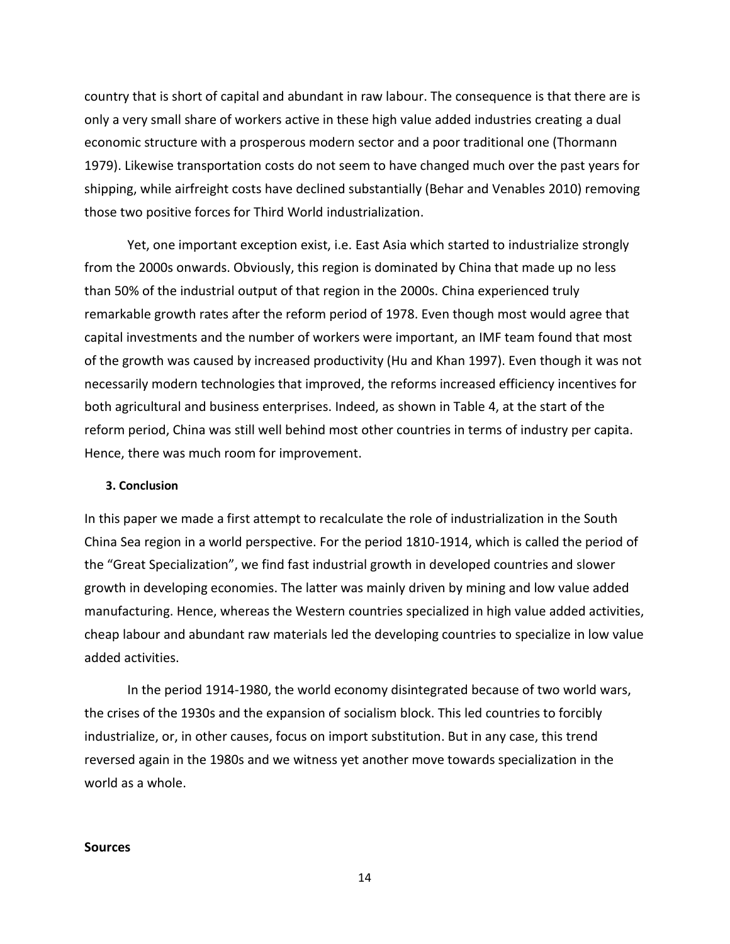country that is short of capital and abundant in raw labour. The consequence is that there are is only a very small share of workers active in these high value added industries creating a dual economic structure with a prosperous modern sector and a poor traditional one (Thormann 1979). Likewise transportation costs do not seem to have changed much over the past years for shipping, while airfreight costs have declined substantially (Behar and Venables 2010) removing those two positive forces for Third World industrialization.

Yet, one important exception exist, i.e. East Asia which started to industrialize strongly from the 2000s onwards. Obviously, this region is dominated by China that made up no less than 50% of the industrial output of that region in the 2000s. China experienced truly remarkable growth rates after the reform period of 1978. Even though most would agree that capital investments and the number of workers were important, an IMF team found that most of the growth was caused by increased productivity (Hu and Khan 1997). Even though it was not necessarily modern technologies that improved, the reforms increased efficiency incentives for both agricultural and business enterprises. Indeed, as shown in Table 4, at the start of the reform period, China was still well behind most other countries in terms of industry per capita. Hence, there was much room for improvement.

# **3. Conclusion**

In this paper we made a first attempt to recalculate the role of industrialization in the South China Sea region in a world perspective. For the period 1810-1914, which is called the period of the "Great Specialization", we find fast industrial growth in developed countries and slower growth in developing economies. The latter was mainly driven by mining and low value added manufacturing. Hence, whereas the Western countries specialized in high value added activities, cheap labour and abundant raw materials led the developing countries to specialize in low value added activities.

In the period 1914-1980, the world economy disintegrated because of two world wars, the crises of the 1930s and the expansion of socialism block. This led countries to forcibly industrialize, or, in other causes, focus on import substitution. But in any case, this trend reversed again in the 1980s and we witness yet another move towards specialization in the world as a whole.

#### **Sources**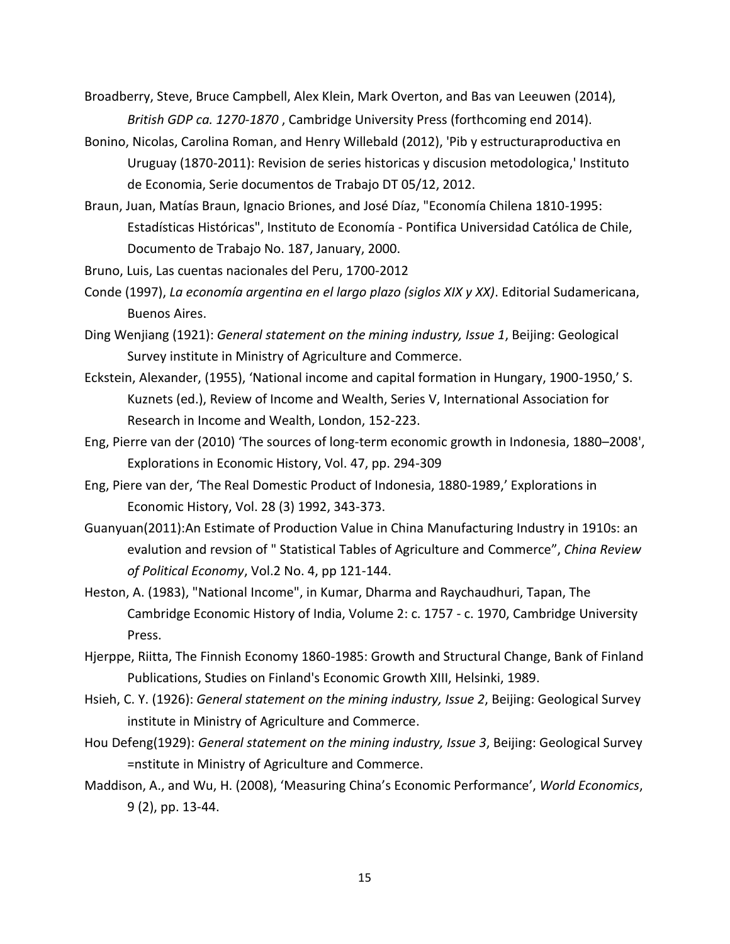- Broadberry, Steve, Bruce Campbell, Alex Klein, Mark Overton, and Bas van Leeuwen (2014), *British GDP ca. 1270-1870* , Cambridge University Press (forthcoming end 2014).
- Bonino, Nicolas, Carolina Roman, and Henry Willebald (2012), 'Pib y estructuraproductiva en Uruguay (1870-2011): Revision de series historicas y discusion metodologica,' Instituto de Economia, Serie documentos de Trabajo DT 05/12, 2012.
- Braun, Juan, Matías Braun, Ignacio Briones, and José Díaz, "Economía Chilena 1810-1995: Estadísticas Históricas", Instituto de Economía - Pontifica Universidad Católica de Chile, Documento de Trabajo No. 187, January, 2000.
- Bruno, Luis, Las cuentas nacionales del Peru, 1700-2012
- Conde (1997), *La economía argentina en el largo plazo (siglos XIX y XX)*. Editorial Sudamericana, Buenos Aires.
- Ding Wenjiang (1921): *General statement on the mining industry, Issue 1*, Beijing: Geological Survey institute in Ministry of Agriculture and Commerce.
- Eckstein, Alexander, (1955), 'National income and capital formation in Hungary, 1900-1950,' S. Kuznets (ed.), Review of Income and Wealth, Series V, International Association for Research in Income and Wealth, London, 152-223.
- Eng, Pierre van der (2010) 'The sources of long-term economic growth in Indonesia, 1880–2008', Explorations in Economic History, Vol. 47, pp. 294-309
- Eng, Piere van der, 'The Real Domestic Product of Indonesia, 1880-1989,' Explorations in Economic History, Vol. 28 (3) 1992, 343-373.
- Guanyuan(2011):An Estimate of Production Value in China Manufacturing Industry in 1910s: an evalution and revsion of " Statistical Tables of Agriculture and Commerce", *China Review of Political Economy*, Vol.2 No. 4, pp 121-144.
- Heston, A. (1983), "National Income", in Kumar, Dharma and Raychaudhuri, Tapan, The Cambridge Economic History of India, Volume 2: c. 1757 - c. 1970, Cambridge University Press.
- Hjerppe, Riitta, The Finnish Economy 1860-1985: Growth and Structural Change, Bank of Finland Publications, Studies on Finland's Economic Growth XIII, Helsinki, 1989.
- Hsieh, C. Y. (1926): *General statement on the mining industry, Issue 2*, Beijing: Geological Survey institute in Ministry of Agriculture and Commerce.
- Hou Defeng(1929): *General statement on the mining industry, Issue 3*, Beijing: Geological Survey =nstitute in Ministry of Agriculture and Commerce.
- Maddison, A., and Wu, H. (2008), 'Measuring China's Economic Performance', *World Economics*, 9 (2), pp. 13-44.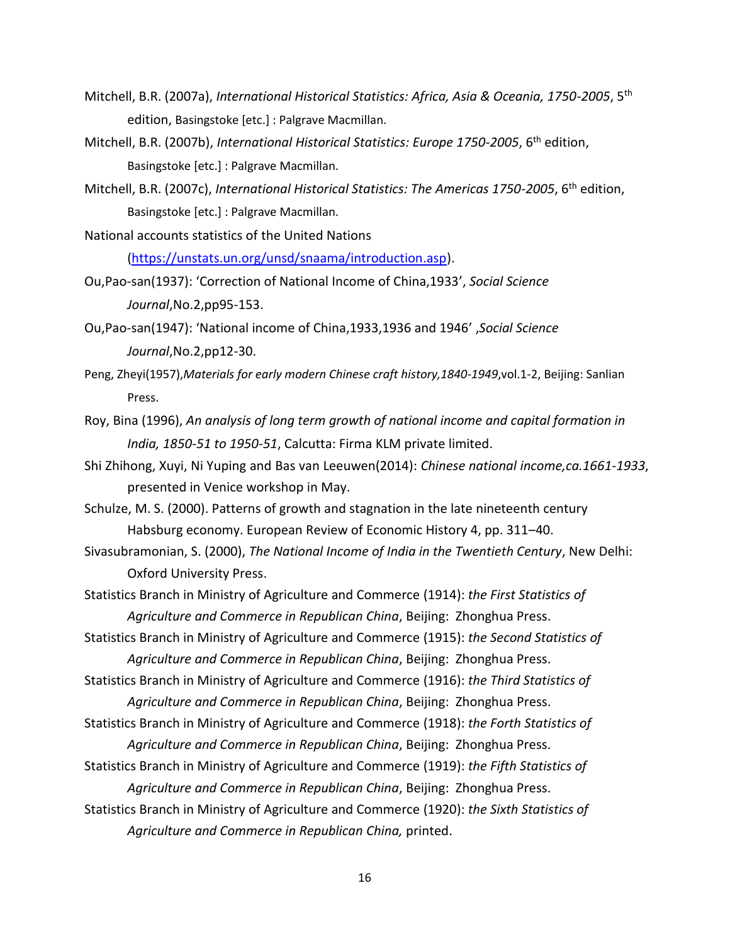- Mitchell, B.R. (2007a), *International Historical Statistics: Africa, Asia & Oceania, 1750-2005*, 5th edition, Basingstoke [etc.] : Palgrave Macmillan.
- Mitchell, B.R. (2007b), *International Historical Statistics: Europe 1750-2005*, 6th edition, Basingstoke [etc.] : Palgrave Macmillan.
- Mitchell, B.R. (2007c), *International Historical Statistics: The Americas 1750-2005*, 6th edition, Basingstoke [etc.] : Palgrave Macmillan.
- National accounts statistics of the United Nations [\(https://unstats.un.org/unsd/snaama/introduction.asp\)](https://unstats.un.org/unsd/snaama/introduction.asp).
- Ou,Pao-san(1937): 'Correction of National Income of China,1933', *Social Science Journal*,No.2,pp95-153.
- Ou,Pao-san(1947): 'National income of China,1933,1936 and 1946' ,*Social Science Journal*,No.2,pp12-30.
- Peng, Zheyi(1957),*Materials for early modern Chinese craft history,1840-1949*,vol.1-2, Beijing: Sanlian Press.
- Roy, Bina (1996), *An analysis of long term growth of national income and capital formation in India, 1850-51 to 1950-51*, Calcutta: Firma KLM private limited.
- Shi Zhihong, Xuyi, Ni Yuping and Bas van Leeuwen(2014): *Chinese national income,ca.1661-1933*, presented in Venice workshop in May.
- Schulze, M. S. (2000). Patterns of growth and stagnation in the late nineteenth century Habsburg economy. European Review of Economic History 4, pp. 311–40.
- Sivasubramonian, S. (2000), *The National Income of India in the Twentieth Century*, New Delhi: Oxford University Press.
- Statistics Branch in Ministry of Agriculture and Commerce (1914): *the First Statistics of Agriculture and Commerce in Republican China*, Beijing: Zhonghua Press.
- Statistics Branch in Ministry of Agriculture and Commerce (1915): *the Second Statistics of Agriculture and Commerce in Republican China*, Beijing: Zhonghua Press.
- Statistics Branch in Ministry of Agriculture and Commerce (1916): *the Third Statistics of Agriculture and Commerce in Republican China*, Beijing: Zhonghua Press.
- Statistics Branch in Ministry of Agriculture and Commerce (1918): *the Forth Statistics of Agriculture and Commerce in Republican China*, Beijing: Zhonghua Press.
- Statistics Branch in Ministry of Agriculture and Commerce (1919): *the Fifth Statistics of Agriculture and Commerce in Republican China*, Beijing: Zhonghua Press.
- Statistics Branch in Ministry of Agriculture and Commerce (1920): *the Sixth Statistics of Agriculture and Commerce in Republican China,* printed.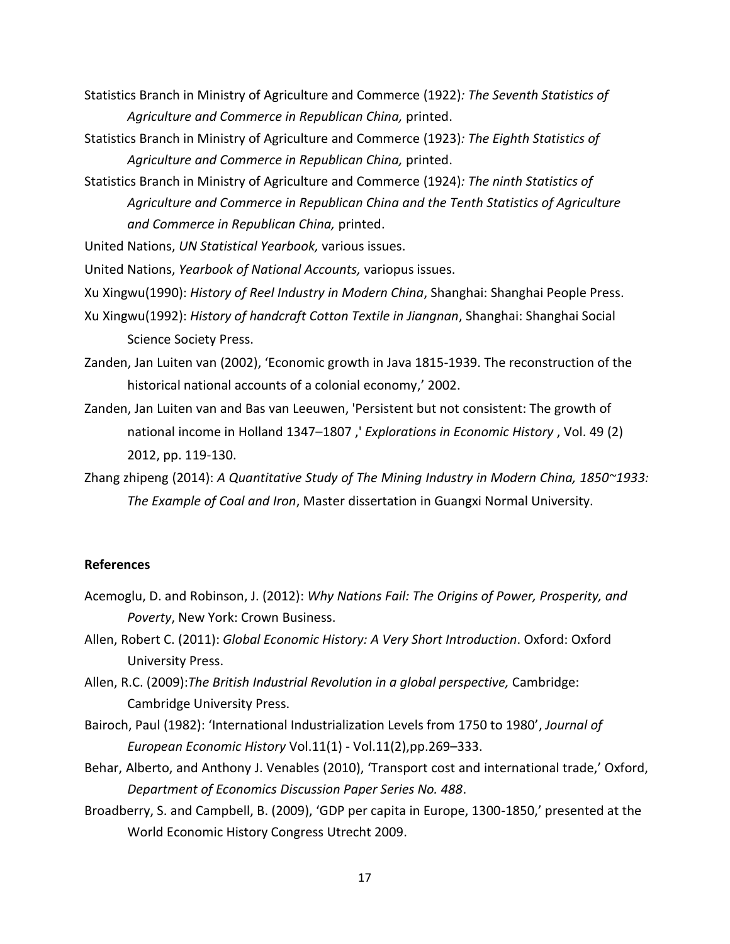- Statistics Branch in Ministry of Agriculture and Commerce (1922)*: The Seventh Statistics of Agriculture and Commerce in Republican China,* printed.
- Statistics Branch in Ministry of Agriculture and Commerce (1923)*: The Eighth Statistics of Agriculture and Commerce in Republican China,* printed.
- Statistics Branch in Ministry of Agriculture and Commerce (1924)*: The ninth Statistics of Agriculture and Commerce in Republican China and the Tenth Statistics of Agriculture and Commerce in Republican China,* printed.

United Nations, *UN Statistical Yearbook,* various issues.

United Nations, *Yearbook of National Accounts,* variopus issues.

- Xu Xingwu(1990): *History of Reel Industry in Modern China*, Shanghai: Shanghai People Press.
- Xu Xingwu(1992): *History of handcraft Cotton Textile in Jiangnan*, Shanghai: Shanghai Social Science Society Press.
- Zanden, Jan Luiten van (2002), 'Economic growth in Java 1815-1939. The reconstruction of the historical national accounts of a colonial economy,' 2002.
- Zanden, Jan Luiten van and Bas van Leeuwen, 'Persistent but not consistent: The growth of national income in Holland 1347–1807 ,' *Explorations in Economic History* , Vol. 49 (2) 2012, pp. 119-130.
- Zhang zhipeng (2014): *A Quantitative Study of The Mining Industry in Modern China, 1850~1933: The Example of Coal and Iron*, Master dissertation in Guangxi Normal University.

# **References**

- Acemoglu, D. and Robinson, J. (2012): *Why Nations Fail: The Origins of Power, Prosperity, and Poverty*, New York: Crown Business.
- Allen, Robert C. (2011): *Global Economic History: A Very Short Introduction*. Oxford: Oxford University Press.
- Allen, R.C. (2009):*The British Industrial Revolution in a global perspective,* Cambridge: Cambridge University Press.
- Bairoch, Paul (1982): 'International Industrialization Levels from 1750 to 1980', *Journal of European Economic History* Vol.11(1) - Vol.11(2),pp.269–333.
- Behar, Alberto, and Anthony J. Venables (2010), 'Transport cost and international trade,' Oxford, *Department of Economics Discussion Paper Series No. 488*.
- Broadberry, S. and Campbell, B. (2009), 'GDP per capita in Europe, 1300-1850,' presented at the World Economic History Congress Utrecht 2009.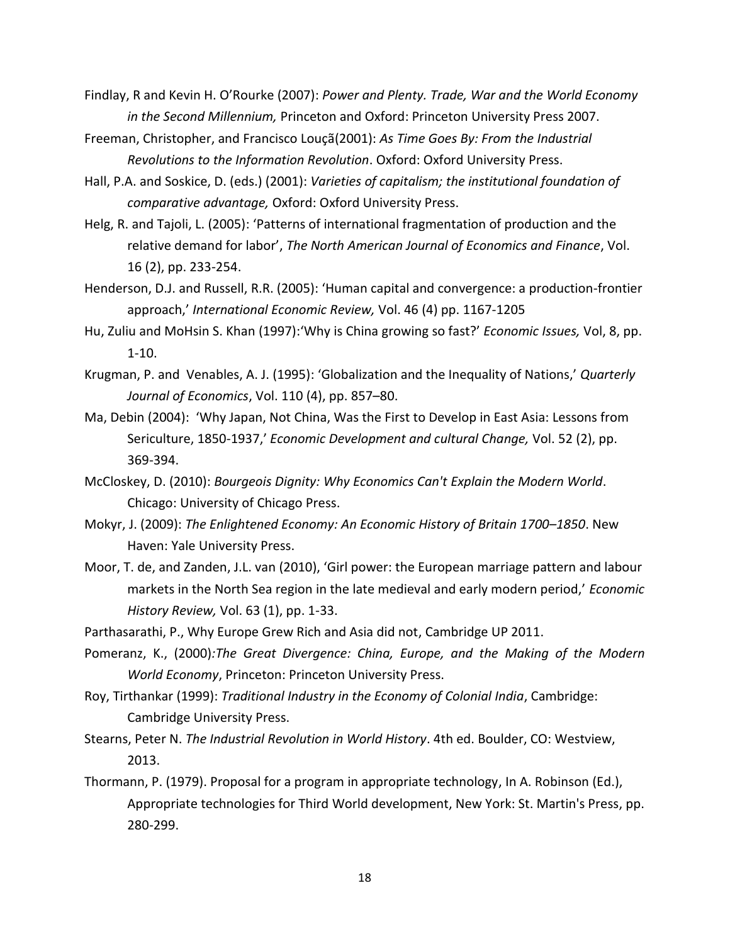- Findlay, R and Kevin H. O'Rourke (2007): *Power and Plenty. Trade, War and the World Economy in the Second Millennium,* Princeton and Oxford: Princeton University Press 2007.
- Freeman, Christopher, and Francisco Louçã(2001): *As Time Goes By: From the Industrial Revolutions to the Information Revolution*. Oxford: Oxford University Press.
- Hall, P.A. and Soskice, D. (eds.) (2001): *Varieties of capitalism; the institutional foundation of comparative advantage,* Oxford: Oxford University Press.
- Helg, R. and Tajoli, L. (2005): 'Patterns of international fragmentation of production and the relative demand for labor', *The North American Journal of Economics and Finance*, Vol. 16 (2), pp. 233-254.
- Henderson, D.J. and Russell, R.R. (2005): 'Human capital and convergence: a production-frontier approach,' *International Economic Review,* Vol. 46 (4) pp. 1167-1205
- Hu, Zuliu and MoHsin S. Khan (1997):'Why is China growing so fast?' *Economic Issues,* Vol, 8, pp. 1-10.
- Krugman, P. and Venables, A. J. (1995): 'Globalization and the Inequality of Nations,' *Quarterly Journal of Economics*, Vol. 110 (4), pp. 857–80.
- Ma, Debin (2004): 'Why Japan, Not China, Was the First to Develop in East Asia: Lessons from Sericulture, 1850-1937,' *Economic Development and cultural Change,* Vol. 52 (2), pp. 369-394.
- McCloskey, D. (2010): *Bourgeois Dignity: Why Economics Can't Explain the Modern World*. Chicago: University of Chicago Press.
- Mokyr, J. (2009): *The Enlightened Economy: An Economic History of Britain 1700–1850*. New Haven: Yale University Press.
- Moor, T. de, and Zanden, J.L. van (2010), 'Girl power: the European marriage pattern and labour markets in the North Sea region in the late medieval and early modern period,' *Economic History Review,* Vol. 63 (1), pp. 1-33.
- Parthasarathi, P., Why Europe Grew Rich and Asia did not, Cambridge UP 2011.
- Pomeranz, K., (2000)*:The Great Divergence: China, Europe, and the Making of the Modern World Economy*, Princeton: Princeton University Press.
- Roy, Tirthankar (1999): *Traditional Industry in the Economy of Colonial India*, Cambridge: Cambridge University Press.
- Stearns, Peter N. *The Industrial Revolution in World History*. 4th ed. Boulder, CO: Westview, 2013.
- Thormann, P. (1979). Proposal for a program in appropriate technology, In A. Robinson (Ed.), Appropriate technologies for Third World development, New York: St. Martin's Press, pp. 280-299.